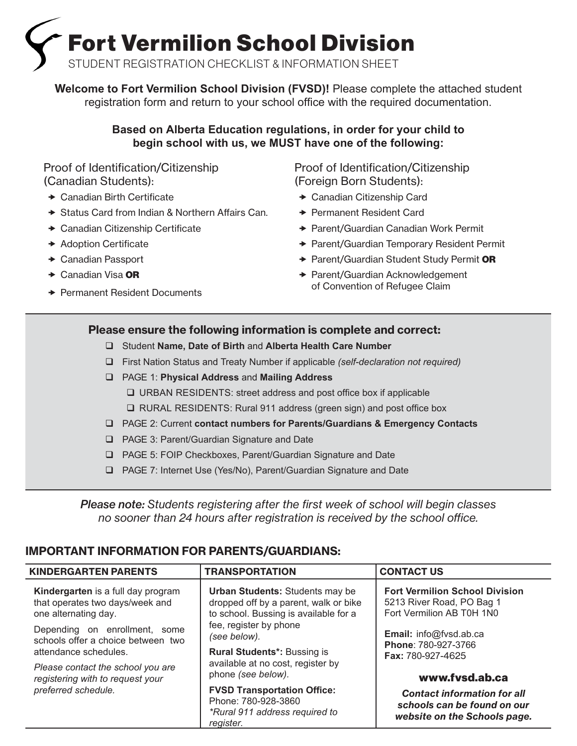Fort Vermilion School Division

STUDENT REGISTRATION CHECKLIST & INFORMATION SHEET

W**elcome to Fort Vermilion School Division (FVSD)!** Please complete the attached student registration form and return to your school office with the required documentation.

# **Based on Alberta Education regulations, in order for your child to begin school with us, we MUST have one of the following:**

Proof of Identification/Citizenship (Canadian Students):

- $\rightarrow$  Canadian Birth Certificate
- $\rightarrow$  Status Card from Indian & Northern Affairs Can.
- $\rightarrow$  Canadian Citizenship Certificate
- **\*** Adoption Certificate
- ◆ Canadian Passport
- $\rightarrow$  Canadian Visa OR
- **→ Permanent Resident Documents**

Proof of Identification/Citizenship (Foreign Born Students):

- ◆ Canadian Citizenship Card
- **★ Permanent Resident Card**
- ◆ Parent/Guardian Canadian Work Permit
- ◆ Parent/Guardian Temporary Resident Permit
- ◆ Parent/Guardian Student Study Permit OR
- **→ Parent/Guardian Acknowledgement** of Convention of Refugee Claim

# Please ensure the following information is complete and correct:

- Student **Name, Date of Birth** and **Alberta Health Care Number**
- First Nation Status and Treaty Number if applicable *(self-declaration not required)*
- PAGE 1: **Physical Address** and **Mailing Address**
	- URBAN RESIDENTS: street address and post office box if applicable
	- □ RURAL RESIDENTS: Rural 911 address (green sign) and post office box
- PAGE 2: Current **contact numbers for Parents/Guardians & Emergency Contacts**
- □ PAGE 3: Parent/Guardian Signature and Date
- PAGE 5: FOIP Checkboxes, Parent/Guardian Signature and Date
- PAGE 7: Internet Use (Yes/No), Parent/Guardian Signature and Date

*Please note: Students registering after the first week of school will begin classes no sooner than 24 hours after registration is received by the school office.* 

# IMPORTANT INFORMATION FOR PARENTS/GUARDIANS:

| <b>KINDERGARTEN PARENTS</b>                                                                                                    | <b>TRANSPORTATION</b>                                                                                                                                                                                                     | <b>CONTACT US</b>                                                                                 |
|--------------------------------------------------------------------------------------------------------------------------------|---------------------------------------------------------------------------------------------------------------------------------------------------------------------------------------------------------------------------|---------------------------------------------------------------------------------------------------|
| Kindergarten is a full day program<br>that operates two days/week and<br>one alternating day.<br>Depending on enrollment, some | <b>Urban Students: Students may be</b><br>dropped off by a parent, walk or bike<br>to school. Bussing is available for a<br>fee, register by phone                                                                        | <b>Fort Vermilion School Division</b><br>5213 River Road, PO Bag 1<br>Fort Vermilion AB T0H 1N0   |
| schools offer a choice between two<br>attendance schedules.                                                                    | (see below).<br><b>Rural Students*: Bussing is</b><br>available at no cost, register by<br>phone (see below).<br><b>FVSD Transportation Office:</b><br>Phone: 780-928-3860<br>*Rural 911 address required to<br>reaister. | Email: info@fvsd.ab.ca<br>Phone: 780-927-3766<br><b>Fax: 780-927-4625</b>                         |
| Please contact the school you are<br>registering with to request your                                                          |                                                                                                                                                                                                                           | www.fvsd.ab.ca                                                                                    |
| preferred schedule.                                                                                                            |                                                                                                                                                                                                                           | <b>Contact information for all</b><br>schools can be found on our<br>website on the Schools page. |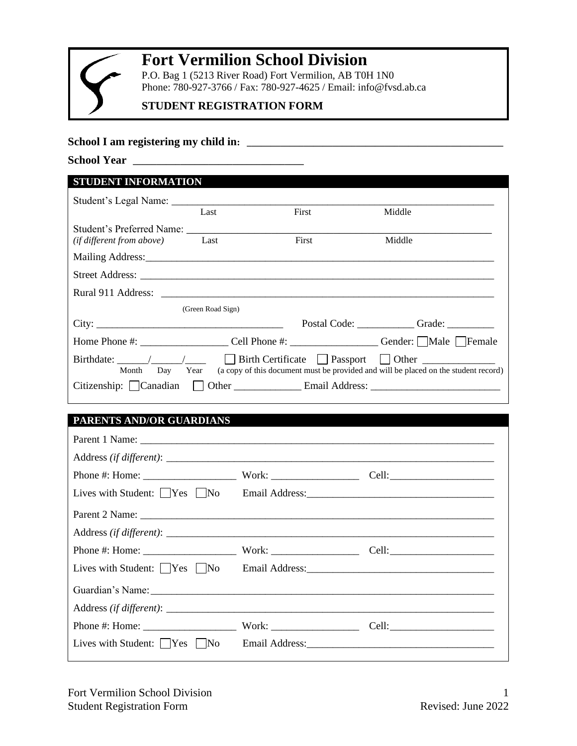

# **Fort Vermilion School Division**

P.O. Bag 1 (5213 River Road) Fort Vermilion, AB T0H 1N0 Phone: 780-927-3766 / Fax: 780-927-4625 / Email: info@fvsd.ab.ca

# **STUDENT REGISTRATION FORM**

# **School I am registering my child in: \_\_\_\_\_\_\_\_\_\_\_\_\_\_\_\_\_\_\_\_\_\_\_\_\_\_\_\_\_\_\_\_\_\_\_\_\_\_\_\_\_\_\_\_\_\_\_\_\_\_\_\_\_\_**

**School Year \_\_\_\_\_\_\_\_\_\_\_\_\_\_\_\_\_\_\_\_\_\_\_\_\_\_\_\_\_\_\_\_\_\_\_\_**

| STUDENT INFORMATION                                                                 |                   |       |                                                                                     |
|-------------------------------------------------------------------------------------|-------------------|-------|-------------------------------------------------------------------------------------|
|                                                                                     |                   |       |                                                                                     |
|                                                                                     | Last              | First | Middle                                                                              |
|                                                                                     |                   |       |                                                                                     |
| ( <i>if different from above</i> ) Last                                             |                   | First | Middle                                                                              |
|                                                                                     |                   |       |                                                                                     |
|                                                                                     |                   |       |                                                                                     |
|                                                                                     |                   |       |                                                                                     |
|                                                                                     | (Green Road Sign) |       |                                                                                     |
|                                                                                     |                   |       | Postal Code: Grade: Grade:                                                          |
|                                                                                     |                   |       | Home Phone #: Cell Phone #: Cell Phone #: Gender: Male Female                       |
| Birthdate: $\angle$ /     Birth Certificate   Passport   Other<br>Day Year<br>Month |                   |       | (a copy of this document must be provided and will be placed on the student record) |
| Citizenship:   Canadian                                                             |                   |       |                                                                                     |

# **PARENTS AND/OR GUARDIANS**

| Lives with Student: $\Box$ Yes $\Box$ No                        |  |
|-----------------------------------------------------------------|--|
|                                                                 |  |
|                                                                 |  |
|                                                                 |  |
| Lives with Student: Yes No Email Address:                       |  |
|                                                                 |  |
|                                                                 |  |
|                                                                 |  |
| Lives with Student: $ $ $ $ $ $ $\gamma$ es $ $ $ $ $\gamma$ No |  |
|                                                                 |  |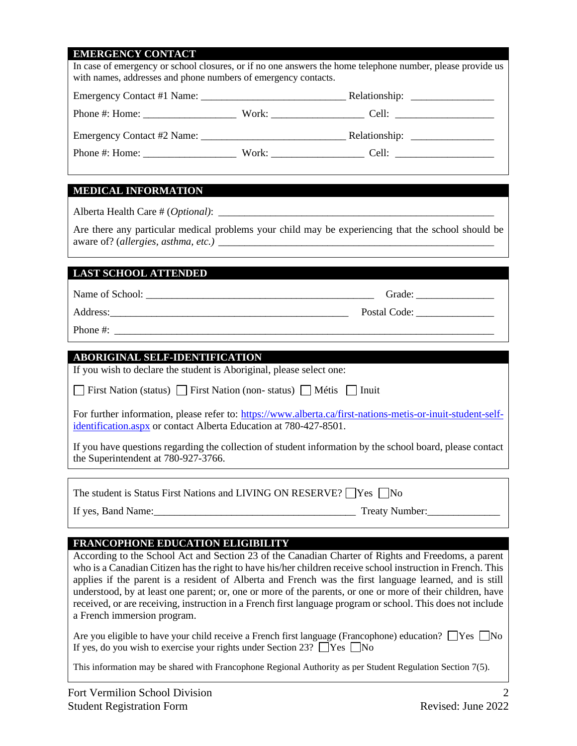# **EMERGENCY CONTACT**

| <b>MYIMANIMANI</b><br><b>CONTACT</b><br>with names, addresses and phone numbers of emergency contacts. | In case of emergency or school closures, or if no one answers the home telephone number, please provide us                                                                                                                                                                                                                                                                                                                                                                                                                                                |
|--------------------------------------------------------------------------------------------------------|-----------------------------------------------------------------------------------------------------------------------------------------------------------------------------------------------------------------------------------------------------------------------------------------------------------------------------------------------------------------------------------------------------------------------------------------------------------------------------------------------------------------------------------------------------------|
|                                                                                                        |                                                                                                                                                                                                                                                                                                                                                                                                                                                                                                                                                           |
|                                                                                                        |                                                                                                                                                                                                                                                                                                                                                                                                                                                                                                                                                           |
|                                                                                                        |                                                                                                                                                                                                                                                                                                                                                                                                                                                                                                                                                           |
|                                                                                                        |                                                                                                                                                                                                                                                                                                                                                                                                                                                                                                                                                           |
|                                                                                                        |                                                                                                                                                                                                                                                                                                                                                                                                                                                                                                                                                           |
| <b>MEDICAL INFORMATION</b>                                                                             |                                                                                                                                                                                                                                                                                                                                                                                                                                                                                                                                                           |
|                                                                                                        |                                                                                                                                                                                                                                                                                                                                                                                                                                                                                                                                                           |
|                                                                                                        | Are there any particular medical problems your child may be experiencing that the school should be                                                                                                                                                                                                                                                                                                                                                                                                                                                        |
| <b>LAST SCHOOL ATTENDED</b>                                                                            |                                                                                                                                                                                                                                                                                                                                                                                                                                                                                                                                                           |
|                                                                                                        |                                                                                                                                                                                                                                                                                                                                                                                                                                                                                                                                                           |
|                                                                                                        |                                                                                                                                                                                                                                                                                                                                                                                                                                                                                                                                                           |
|                                                                                                        |                                                                                                                                                                                                                                                                                                                                                                                                                                                                                                                                                           |
| <b>ABORIGINAL SELF-IDENTIFICATION</b>                                                                  |                                                                                                                                                                                                                                                                                                                                                                                                                                                                                                                                                           |
| If you wish to declare the student is Aboriginal, please select one:                                   |                                                                                                                                                                                                                                                                                                                                                                                                                                                                                                                                                           |
| First Nation (status) First Nation (non-status) Métis Inuit                                            |                                                                                                                                                                                                                                                                                                                                                                                                                                                                                                                                                           |
| identification.aspx or contact Alberta Education at 780-427-8501.                                      | For further information, please refer to: https://www.alberta.ca/first-nations-metis-or-inuit-student-self-                                                                                                                                                                                                                                                                                                                                                                                                                                               |
| the Superintendent at 780-927-3766.                                                                    | If you have questions regarding the collection of student information by the school board, please contact                                                                                                                                                                                                                                                                                                                                                                                                                                                 |
| The student is Status First Nations and LIVING ON RESERVE? Pes No                                      |                                                                                                                                                                                                                                                                                                                                                                                                                                                                                                                                                           |
|                                                                                                        | If yes, Band Name: 1992. Treaty Number: 1993. Treaty Number: 1994. Treaty Number: 1994. Treaty Number: 1994. Treaty Number: 1994. Treaty Number: 1994. Treaty Number: 1994. Treaty Number: 1994. Treaty Number: 1994. Treaty N                                                                                                                                                                                                                                                                                                                            |
| <b>FRANCOPHONE EDUCATION ELIGIBILITY</b>                                                               |                                                                                                                                                                                                                                                                                                                                                                                                                                                                                                                                                           |
| a French immersion program.                                                                            | According to the School Act and Section 23 of the Canadian Charter of Rights and Freedoms, a parent<br>who is a Canadian Citizen has the right to have his/her children receive school instruction in French. This<br>applies if the parent is a resident of Alberta and French was the first language learned, and is still<br>understood, by at least one parent; or, one or more of the parents, or one or more of their children, have<br>received, or are receiving, instruction in a French first language program or school. This does not include |
| If yes, do you wish to exercise your rights under Section 23? $\Box$ Yes $\Box$ No                     | Are you eligible to have your child receive a French first language (Francophone) education? $\Box$ Yes $\Box$ No                                                                                                                                                                                                                                                                                                                                                                                                                                         |

This information may be shared with Francophone Regional Authority as per Student Regulation Section 7(5).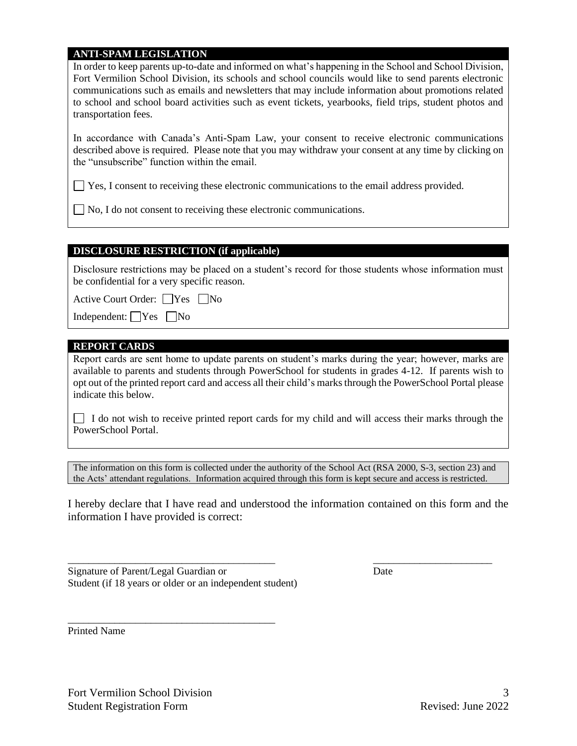### **ANTI-SPAM LEGISLATION**

In order to keep parents up-to-date and informed on what's happening in the School and School Division, Fort Vermilion School Division, its schools and school councils would like to send parents electronic communications such as emails and newsletters that may include information about promotions related to school and school board activities such as event tickets, yearbooks, field trips, student photos and transportation fees.

In accordance with Canada's Anti-Spam Law, your consent to receive electronic communications described above is required. Please note that you may withdraw your consent at any time by clicking on the "unsubscribe" function within the email.

Yes, I consent to receiving these electronic communications to the email address provided.

 $\Box$  No, I do not consent to receiving these electronic communications.

### **DISCLOSURE RESTRICTION (if applicable)**

Disclosure restrictions may be placed on a student's record for those students whose information must be confidential for a very specific reason.

Active Court Order: Nes No

Independent:  $\bigcap$  Yes  $\bigcap$  No

#### **REPORT CARDS**

Report cards are sent home to update parents on student's marks during the year; however, marks are available to parents and students through PowerSchool for students in grades 4-12. If parents wish to opt out of the printed report card and access all their child's marks through the PowerSchool Portal please indicate this below.

I do not wish to receive printed report cards for my child and will access their marks through the PowerSchool Portal.

The information on this form is collected under the authority of the School Act (RSA 2000, S-3, section 23) and the Acts' attendant regulations. Information acquired through this form is kept secure and access is restricted.

I hereby declare that I have read and understood the information contained on this form and the information I have provided is correct:

\_\_\_\_\_\_\_\_\_\_\_\_\_\_\_\_\_\_\_\_\_\_\_\_\_\_\_\_\_\_\_\_\_\_\_\_\_\_\_\_ \_\_\_\_\_\_\_\_\_\_\_\_\_\_\_\_\_\_\_\_\_\_\_

Signature of Parent/Legal Guardian or Date Student (if 18 years or older or an independent student)

\_\_\_\_\_\_\_\_\_\_\_\_\_\_\_\_\_\_\_\_\_\_\_\_\_\_\_\_\_\_\_\_\_\_\_\_\_\_\_\_

Printed Name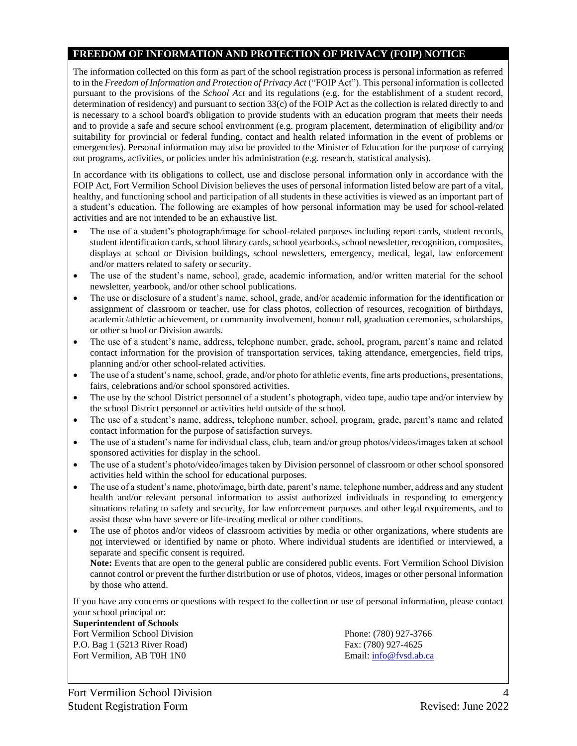### **FREEDOM OF INFORMATION AND PROTECTION OF PRIVACY (FOIP) NOTICE**

The information collected on this form as part of the school registration process is personal information as referred to in the *Freedom of Information and Protection of Privacy Act* ("FOIP Act"). This personal information is collected pursuant to the provisions of the *School Act* and its regulations (e.g. for the establishment of a student record, determination of residency) and pursuant to section 33(c) of the FOIP Act as the collection is related directly to and is necessary to a school board's obligation to provide students with an education program that meets their needs and to provide a safe and secure school environment (e.g. program placement, determination of eligibility and/or suitability for provincial or federal funding, contact and health related information in the event of problems or emergencies). Personal information may also be provided to the Minister of Education for the purpose of carrying out programs, activities, or policies under his administration (e.g. research, statistical analysis).

In accordance with its obligations to collect, use and disclose personal information only in accordance with the FOIP Act, Fort Vermilion School Division believes the uses of personal information listed below are part of a vital, healthy, and functioning school and participation of all students in these activities is viewed as an important part of a student's education. The following are examples of how personal information may be used for school-related activities and are not intended to be an exhaustive list.

- The use of a student's photograph/image for school-related purposes including report cards, student records, student identification cards, school library cards, school yearbooks, school newsletter, recognition, composites, displays at school or Division buildings, school newsletters, emergency, medical, legal, law enforcement and/or matters related to safety or security.
- The use of the student's name, school, grade, academic information, and/or written material for the school newsletter, yearbook, and/or other school publications.
- The use or disclosure of a student's name, school, grade, and/or academic information for the identification or assignment of classroom or teacher, use for class photos, collection of resources, recognition of birthdays, academic/athletic achievement, or community involvement, honour roll, graduation ceremonies, scholarships, or other school or Division awards.
- The use of a student's name, address, telephone number, grade, school, program, parent's name and related contact information for the provision of transportation services, taking attendance, emergencies, field trips, planning and/or other school-related activities.
- The use of a student's name, school, grade, and/or photo for athletic events, fine arts productions, presentations, fairs, celebrations and/or school sponsored activities.
- The use by the school District personnel of a student's photograph, video tape, audio tape and/or interview by the school District personnel or activities held outside of the school.
- The use of a student's name, address, telephone number, school, program, grade, parent's name and related contact information for the purpose of satisfaction surveys.
- The use of a student's name for individual class, club, team and/or group photos/videos/images taken at school sponsored activities for display in the school.
- The use of a student's photo/video/images taken by Division personnel of classroom or other school sponsored activities held within the school for educational purposes.
- The use of a student's name, photo/image, birth date, parent's name, telephone number, address and any student health and/or relevant personal information to assist authorized individuals in responding to emergency situations relating to safety and security, for law enforcement purposes and other legal requirements, and to assist those who have severe or life-treating medical or other conditions.
- The use of photos and/or videos of classroom activities by media or other organizations, where students are not interviewed or identified by name or photo. Where individual students are identified or interviewed, a separate and specific consent is required.

**Note:** Events that are open to the general public are considered public events. Fort Vermilion School Division cannot control or prevent the further distribution or use of photos, videos, images or other personal information by those who attend.

If you have any concerns or questions with respect to the collection or use of personal information, please contact your school principal or:

#### **Superintendent of Schools**

Fort Vermilion School Division **Phone:** (780) 927-3766 P.O. Bag 1 (5213 River Road) Fax: (780) 927-4625 Fort Vermilion, AB T0H 1N0 Email: [info@fvsd.ab.ca](mailto:info@fvsd.ab.ca)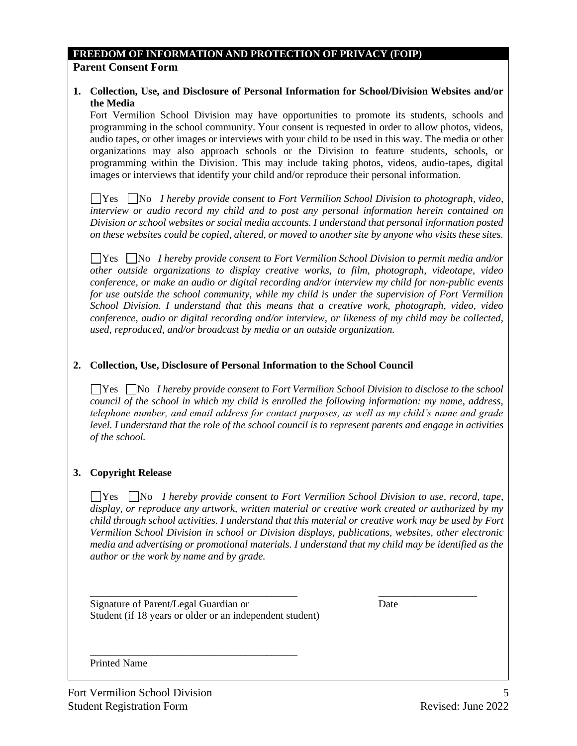## **FREEDOM OF INFORMATION AND PROTECTION OF PRIVACY (FOIP)**

### **Parent Consent Form**

### **1. Collection, Use, and Disclosure of Personal Information for School/Division Websites and/or the Media**

Fort Vermilion School Division may have opportunities to promote its students, schools and programming in the school community. Your consent is requested in order to allow photos, videos, audio tapes, or other images or interviews with your child to be used in this way. The media or other organizations may also approach schools or the Division to feature students, schools, or programming within the Division. This may include taking photos, videos, audio-tapes, digital images or interviews that identify your child and/or reproduce their personal information.

**No** *I hereby provide consent to Fort Vermilion School Division to photograph, video,*  $\Box$  **No** *I hereby provide consent to Fort Vermilion School Division to photograph, video, interview or audio record my child and to post any personal information herein contained on Division or school websites or social media accounts. I understand that personal information posted on these websites could be copied, altered, or moved to another site by anyone who visits these sites.*

Yes No *I hereby provide consent to Fort Vermilion School Division to permit media and/or other outside organizations to display creative works, to film, photograph, videotape, video conference, or make an audio or digital recording and/or interview my child for non-public events for use outside the school community, while my child is under the supervision of Fort Vermilion School Division. I understand that this means that a creative work, photograph, video, video conference, audio or digital recording and/or interview, or likeness of my child may be collected, used, reproduced, and/or broadcast by media or an outside organization.*

## **2. Collection, Use, Disclosure of Personal Information to the School Council**

**No** *I hereby provide consent to Fort Vermilion School Division to disclose to the school* $\Box$ *council of the school in which my child is enrolled the following information: my name, address, telephone number, and email address for contact purposes, as well as my child's name and grade level. I understand that the role of the school council is to represent parents and engage in activities of the school.* 

### **3. Copyright Release**

Yes No *I hereby provide consent to Fort Vermilion School Division to use, record, tape, display, or reproduce any artwork, written material or creative work created or authorized by my child through school activities. I understand that this material or creative work may be used by Fort Vermilion School Division in school or Division displays, publications, websites, other electronic media and advertising or promotional materials. I understand that my child may be identified as the author or the work by name and by grade.*

\_\_\_\_\_\_\_\_\_\_\_\_\_\_\_\_\_\_\_\_\_\_\_\_\_\_\_\_\_\_\_\_\_\_\_\_\_\_\_\_ \_\_\_\_\_\_\_\_\_\_\_\_\_\_\_\_\_\_\_

Signature of Parent/Legal Guardian or Date Student (if 18 years or older or an independent student)

\_\_\_\_\_\_\_\_\_\_\_\_\_\_\_\_\_\_\_\_\_\_\_\_\_\_\_\_\_\_\_\_\_\_\_\_\_\_\_\_

Printed Name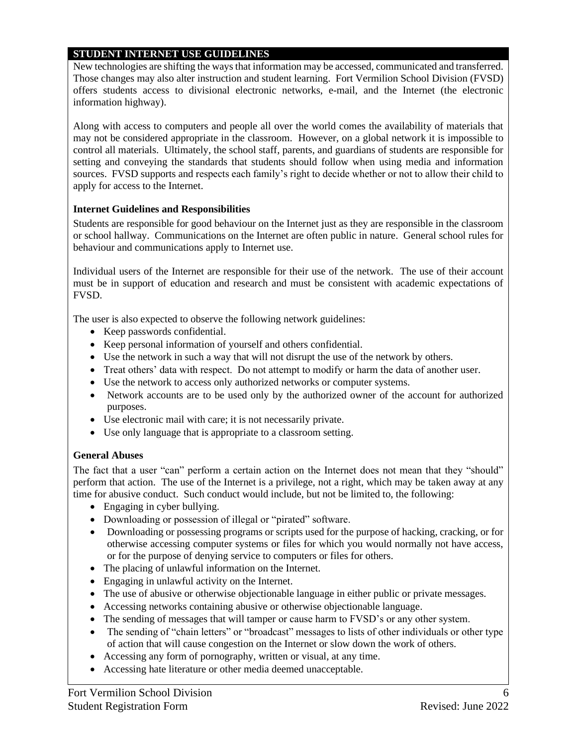### **STUDENT INTERNET USE GUIDELINES**

New technologies are shifting the ways that information may be accessed, communicated and transferred. Those changes may also alter instruction and student learning. Fort Vermilion School Division (FVSD) offers students access to divisional electronic networks, e-mail, and the Internet (the electronic information highway).

Along with access to computers and people all over the world comes the availability of materials that may not be considered appropriate in the classroom. However, on a global network it is impossible to control all materials. Ultimately, the school staff, parents, and guardians of students are responsible for setting and conveying the standards that students should follow when using media and information sources. FVSD supports and respects each family's right to decide whether or not to allow their child to apply for access to the Internet.

## **Internet Guidelines and Responsibilities**

Students are responsible for good behaviour on the Internet just as they are responsible in the classroom or school hallway. Communications on the Internet are often public in nature. General school rules for behaviour and communications apply to Internet use.

Individual users of the Internet are responsible for their use of the network. The use of their account must be in support of education and research and must be consistent with academic expectations of FVSD.

The user is also expected to observe the following network guidelines:

- Keep passwords confidential.
- Keep personal information of yourself and others confidential.
- Use the network in such a way that will not disrupt the use of the network by others.
- Treat others' data with respect. Do not attempt to modify or harm the data of another user.
- Use the network to access only authorized networks or computer systems.
- Network accounts are to be used only by the authorized owner of the account for authorized purposes.
- Use electronic mail with care; it is not necessarily private.
- Use only language that is appropriate to a classroom setting.

# **General Abuses**

The fact that a user "can" perform a certain action on the Internet does not mean that they "should" perform that action. The use of the Internet is a privilege, not a right, which may be taken away at any time for abusive conduct. Such conduct would include, but not be limited to, the following:

- Engaging in cyber bullying.
- Downloading or possession of illegal or "pirated" software.
- Downloading or possessing programs or scripts used for the purpose of hacking, cracking, or for otherwise accessing computer systems or files for which you would normally not have access, or for the purpose of denying service to computers or files for others.
- The placing of unlawful information on the Internet.
- Engaging in unlawful activity on the Internet.
- The use of abusive or otherwise objectionable language in either public or private messages.
- Accessing networks containing abusive or otherwise objectionable language.
- The sending of messages that will tamper or cause harm to FVSD's or any other system.
- The sending of "chain letters" or "broadcast" messages to lists of other individuals or other type of action that will cause congestion on the Internet or slow down the work of others.
- Accessing any form of pornography, written or visual, at any time.
- Accessing hate literature or other media deemed unacceptable.